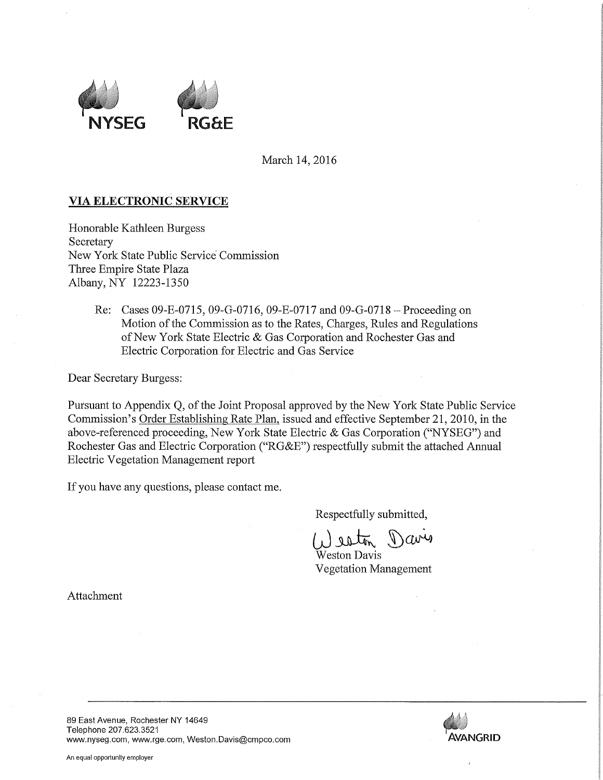

March 14, 2016

## VIA ELECTRONIC SERVICE

Honorable Kathleen Burgess **Secretary** New York State Public Service Commission Three Empire State Plaza Albany, NY 12223-1350

> Re: Cases 09-E-0715, 09-G-0716, 09-E-0717 and 09-G-0718 — Proceeding on Motion of the Commission as to the Rates, Charges, Rules and Regulations of New York State Electric & Gas Corporation and Rochester Gas and Electric Corporation for Electric and Gas Service

Dear Secretary Burgess:

Pursuant to Appendix Q, of the Joint Proposal approved by the New York State Public Service Commission's Order Establishing Rate Plan, issued and effective September 21, 2010, in the above-referenced proceeding, New York State Electric & Gas Corporation ("NYSEG") and Rochester Gas and Electric Corporation ("RG&E") respectfully submit the attached Annual Electric Vegetation Management report

If you have any questions, please contact me.

Respectfully submitted,

Weston Davis Vegetation Management

Attachment

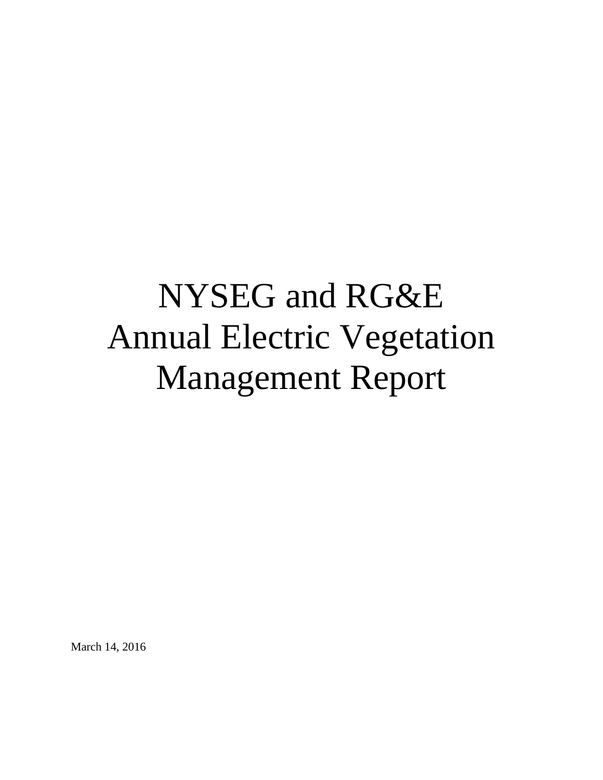# NYSEG and RG&E Annual Electric Vegetation Management Report

March 14, 2016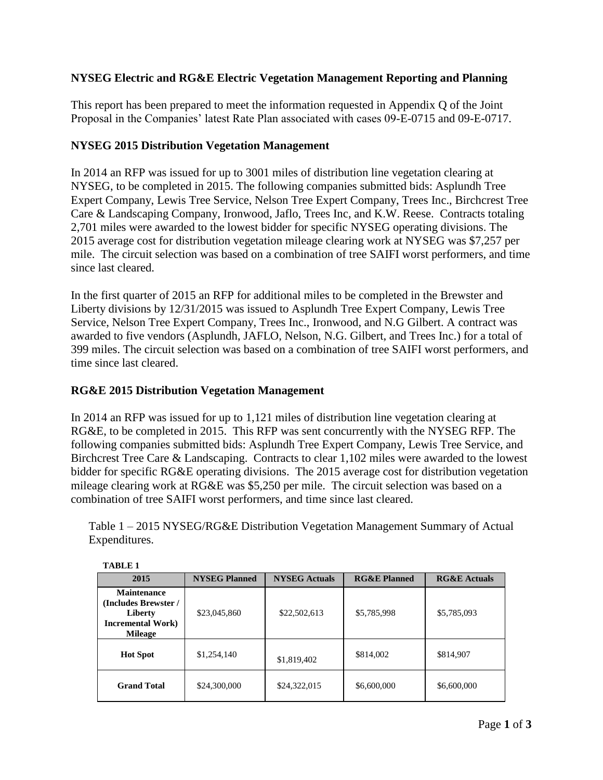## **NYSEG Electric and RG&E Electric Vegetation Management Reporting and Planning**

This report has been prepared to meet the information requested in Appendix Q of the Joint Proposal in the Companies' latest Rate Plan associated with cases 09-E-0715 and 09-E-0717.

#### **NYSEG 2015 Distribution Vegetation Management**

In 2014 an RFP was issued for up to 3001 miles of distribution line vegetation clearing at NYSEG, to be completed in 2015. The following companies submitted bids: Asplundh Tree Expert Company, Lewis Tree Service, Nelson Tree Expert Company, Trees Inc., Birchcrest Tree Care & Landscaping Company, Ironwood, Jaflo, Trees Inc, and K.W. Reese. Contracts totaling 2,701 miles were awarded to the lowest bidder for specific NYSEG operating divisions. The 2015 average cost for distribution vegetation mileage clearing work at NYSEG was \$7,257 per mile. The circuit selection was based on a combination of tree SAIFI worst performers, and time since last cleared.

In the first quarter of 2015 an RFP for additional miles to be completed in the Brewster and Liberty divisions by 12/31/2015 was issued to Asplundh Tree Expert Company, Lewis Tree Service, Nelson Tree Expert Company, Trees Inc., Ironwood, and N.G Gilbert. A contract was awarded to five vendors (Asplundh, JAFLO, Nelson, N.G. Gilbert, and Trees Inc.) for a total of 399 miles. The circuit selection was based on a combination of tree SAIFI worst performers, and time since last cleared.

#### **RG&E 2015 Distribution Vegetation Management**

In 2014 an RFP was issued for up to 1,121 miles of distribution line vegetation clearing at RG&E, to be completed in 2015. This RFP was sent concurrently with the NYSEG RFP. The following companies submitted bids: Asplundh Tree Expert Company, Lewis Tree Service, and Birchcrest Tree Care & Landscaping. Contracts to clear 1,102 miles were awarded to the lowest bidder for specific RG&E operating divisions. The 2015 average cost for distribution vegetation mileage clearing work at RG&E was \$5,250 per mile. The circuit selection was based on a combination of tree SAIFI worst performers, and time since last cleared.

Table 1 – 2015 NYSEG/RG&E Distribution Vegetation Management Summary of Actual Expenditures.

| 2015                                                                                                 | <b>NYSEG</b> Actuals<br><b>NYSEG Planned</b> |              | <b>RG&amp;E Planned</b> | <b>RG&amp;E Actuals</b> |  |
|------------------------------------------------------------------------------------------------------|----------------------------------------------|--------------|-------------------------|-------------------------|--|
| <b>Maintenance</b><br>(Includes Brewster /<br>Liberty<br><b>Incremental Work</b> )<br><b>Mileage</b> | \$23,045,860                                 | \$22,502,613 | \$5,785,998             | \$5,785,093             |  |
| <b>Hot Spot</b>                                                                                      | \$1,254,140<br>\$1,819,402                   |              | \$814,002               | \$814,907               |  |
| <b>Grand Total</b>                                                                                   | \$24,300,000                                 | \$24,322,015 | \$6,600,000             | \$6,600,000             |  |

**TABLE 1**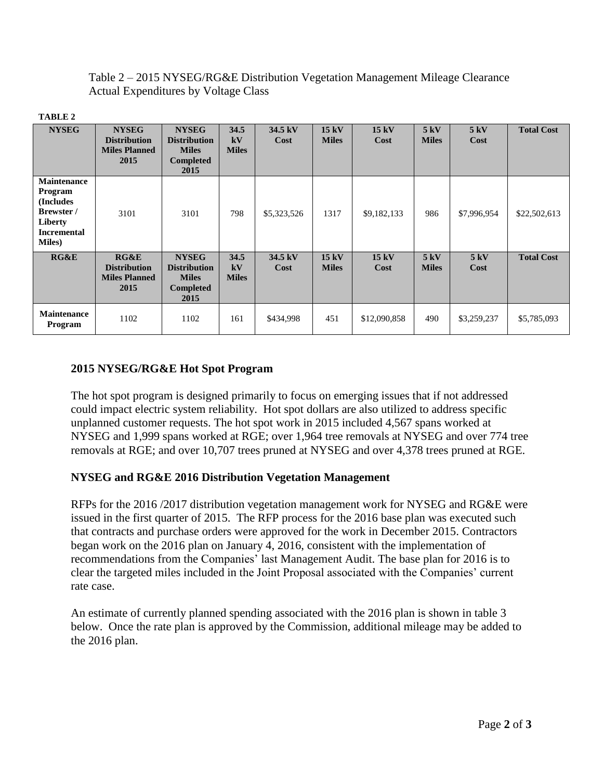Table 2 – 2015 NYSEG/RG&E Distribution Vegetation Management Mileage Clearance Actual Expenditures by Voltage Class

| RI<br>L<br>V. |  |
|---------------|--|
|               |  |

| <b>NYSEG</b>                                                                                                      | <b>NYSEG</b><br><b>Distribution</b><br><b>Miles Planned</b><br>2015 | <b>NYSEG</b><br><b>Distribution</b><br><b>Miles</b><br><b>Completed</b><br>2015 | 34.5<br>kV<br><b>Miles</b> | 34.5 kV<br>Cost | 15kV<br><b>Miles</b> | 15kV<br>Cost | 5kV<br><b>Miles</b> | 5 kV<br>Cost | <b>Total Cost</b> |
|-------------------------------------------------------------------------------------------------------------------|---------------------------------------------------------------------|---------------------------------------------------------------------------------|----------------------------|-----------------|----------------------|--------------|---------------------|--------------|-------------------|
| <b>Maintenance</b><br>Program<br><b>Includes</b><br>Brewster /<br>Liberty<br><b>Incremental</b><br><b>Miles</b> ) | 3101                                                                | 3101                                                                            | 798                        | \$5,323,526     | 1317                 | \$9,182,133  | 986                 | \$7,996,954  | \$22,502,613      |
| RG&E                                                                                                              | RG&E<br><b>Distribution</b><br><b>Miles Planned</b><br>2015         | <b>NYSEG</b><br><b>Distribution</b><br><b>Miles</b><br><b>Completed</b><br>2015 | 34.5<br>kV<br><b>Miles</b> | 34.5 kV<br>Cost | 15kV<br><b>Miles</b> | 15kV<br>Cost | 5kV<br><b>Miles</b> | 5kV<br>Cost  | <b>Total Cost</b> |
| Maintenance<br>Program                                                                                            | 1102                                                                | 1102                                                                            | 161                        | \$434,998       | 451                  | \$12,090,858 | 490                 | \$3,259,237  | \$5,785,093       |

## **2015 NYSEG/RG&E Hot Spot Program**

The hot spot program is designed primarily to focus on emerging issues that if not addressed could impact electric system reliability. Hot spot dollars are also utilized to address specific unplanned customer requests. The hot spot work in 2015 included 4,567 spans worked at NYSEG and 1,999 spans worked at RGE; over 1,964 tree removals at NYSEG and over 774 tree removals at RGE; and over 10,707 trees pruned at NYSEG and over 4,378 trees pruned at RGE.

#### **NYSEG and RG&E 2016 Distribution Vegetation Management**

RFPs for the 2016 /2017 distribution vegetation management work for NYSEG and RG&E were issued in the first quarter of 2015. The RFP process for the 2016 base plan was executed such that contracts and purchase orders were approved for the work in December 2015. Contractors began work on the 2016 plan on January 4, 2016, consistent with the implementation of recommendations from the Companies' last Management Audit. The base plan for 2016 is to clear the targeted miles included in the Joint Proposal associated with the Companies' current rate case.

An estimate of currently planned spending associated with the 2016 plan is shown in table 3 below. Once the rate plan is approved by the Commission, additional mileage may be added to the 2016 plan.